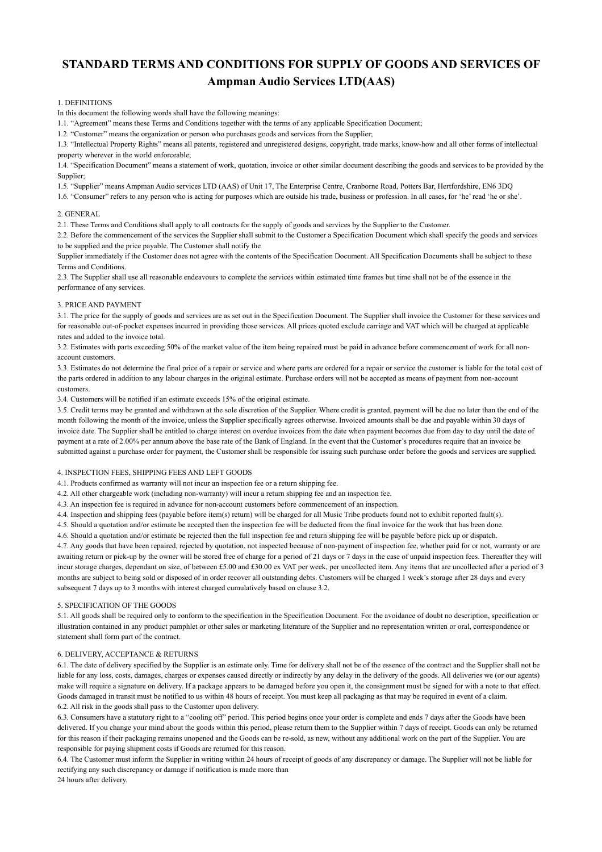# **STANDARD TERMS AND CONDITIONS FOR SUPPLY OF GOODS AND SERVICES OF Ampman Audio Services LTD(AAS)**

## 1. DEFINITIONS

In this document the following words shall have the following meanings:

1.1. "Agreement" means these Terms and Conditions together with the terms of any applicable Specification Document;

1.2. "Customer" means the organization or person who purchases goods and services from the Supplier;

1.3. "Intellectual Property Rights" means all patents, registered and unregistered designs, copyright, trade marks, know-how and all other forms of intellectual property wherever in the world enforceable;

1.4. "Specification Document" means a statement of work, quotation, invoice or other similar document describing the goods and services to be provided by the Supplier;

1.5. "Supplier" means Ampman Audio services LTD (AAS) of Unit 17, The Enterprise Centre, Cranborne Road, Potters Bar, Hertfordshire, EN6 3DQ

1.6. "Consumer" refers to any person who is acting for purposes which are outside his trade, business or profession. In all cases, for 'he' read 'he or she'.

#### 2. GENERAL

2.1. These Terms and Conditions shall apply to all contracts for the supply of goods and services by the Supplier to the Customer.

2.2. Before the commencement of the services the Supplier shall submit to the Customer a Specification Document which shall specify the goods and services to be supplied and the price payable. The Customer shall notify the

Supplier immediately if the Customer does not agree with the contents of the Specification Document. All Specification Documents shall be subject to these Terms and Conditions.

2.3. The Supplier shall use all reasonable endeavours to complete the services within estimated time frames but time shall not be of the essence in the performance of any services.

# 3. PRICE AND PAYMENT

3.1. The price for the supply of goods and services are as set out in the Specification Document. The Supplier shall invoice the Customer for these services and for reasonable out-of-pocket expenses incurred in providing those services. All prices quoted exclude carriage and VAT which will be charged at applicable rates and added to the invoice total.

3.2. Estimates with parts exceeding 50% of the market value of the item being repaired must be paid in advance before commencement of work for all nonaccount customers.

3.3. Estimates do not determine the final price of a repair or service and where parts are ordered for a repair or service the customer is liable for the total cost of the parts ordered in addition to any labour charges in the original estimate. Purchase orders will not be accepted as means of payment from non-account customers.

3.4. Customers will be notified if an estimate exceeds 15% of the original estimate.

3.5. Credit terms may be granted and withdrawn at the sole discretion of the Supplier. Where credit is granted, payment will be due no later than the end of the month following the month of the invoice, unless the Supplier specifically agrees otherwise. Invoiced amounts shall be due and payable within 30 days of invoice date. The Supplier shall be entitled to charge interest on overdue invoices from the date when payment becomes due from day to day until the date of payment at a rate of 2.00% per annum above the base rate of the Bank of England. In the event that the Customer's procedures require that an invoice be submitted against a purchase order for payment, the Customer shall be responsible for issuing such purchase order before the goods and services are supplied.

# 4. INSPECTION FEES, SHIPPING FEES AND LEFT GOODS

4.1. Products confirmed as warranty will not incur an inspection fee or a return shipping fee.

4.2. All other chargeable work (including non-warranty) will incur a return shipping fee and an inspection fee.

4.3. An inspection fee is required in advance for non-account customers before commencement of an inspection.

4.4. Inspection and shipping fees (payable before item(s) return) will be charged for all Music Tribe products found not to exhibit reported fault(s).

4.5. Should a quotation and/or estimate be accepted then the inspection fee will be deducted from the final invoice for the work that has been done.

4.6. Should a quotation and/or estimate be rejected then the full inspection fee and return shipping fee will be payable before pick up or dispatch.

4.7. Any goods that have been repaired, rejected by quotation, not inspected because of non-payment of inspection fee, whether paid for or not, warranty or are awaiting return or pick-up by the owner will be stored free of charge for a period of 21 days or 7 days in the case of unpaid inspection fees. Thereafter they will incur storage charges, dependant on size, of between £5.00 and £30.00 ex VAT per week, per uncollected item. Any items that are uncollected after a period of 3 months are subject to being sold or disposed of in order recover all outstanding debts. Customers will be charged 1 week's storage after 28 days and every subsequent 7 days up to 3 months with interest charged cumulatively based on clause 3.2.

#### 5. SPECIFICATION OF THE GOODS

5.1. All goods shall be required only to conform to the specification in the Specification Document. For the avoidance of doubt no description, specification or illustration contained in any product pamphlet or other sales or marketing literature of the Supplier and no representation written or oral, correspondence or statement shall form part of the contract.

## 6. DELIVERY, ACCEPTANCE & RETURNS

6.1. The date of delivery specified by the Supplier is an estimate only. Time for delivery shall not be of the essence of the contract and the Supplier shall not be liable for any loss, costs, damages, charges or expenses caused directly or indirectly by any delay in the delivery of the goods. All deliveries we (or our agents) make will require a signature on delivery. If a package appears to be damaged before you open it, the consignment must be signed for with a note to that effect. Goods damaged in transit must be notified to us within 48 hours of receipt. You must keep all packaging as that may be required in event of a claim. 6.2. All risk in the goods shall pass to the Customer upon delivery.

6.3. Consumers have a statutory right to a "cooling off" period. This period begins once your order is complete and ends 7 days after the Goods have been delivered. If you change your mind about the goods within this period, please return them to the Supplier within 7 days of receipt. Goods can only be returned for this reason if their packaging remains unopened and the Goods can be re-sold, as new, without any additional work on the part of the Supplier. You are responsible for paying shipment costs if Goods are returned for this reason.

6.4. The Customer must inform the Supplier in writing within 24 hours of receipt of goods of any discrepancy or damage. The Supplier will not be liable for rectifying any such discrepancy or damage if notification is made more than

24 hours after delivery.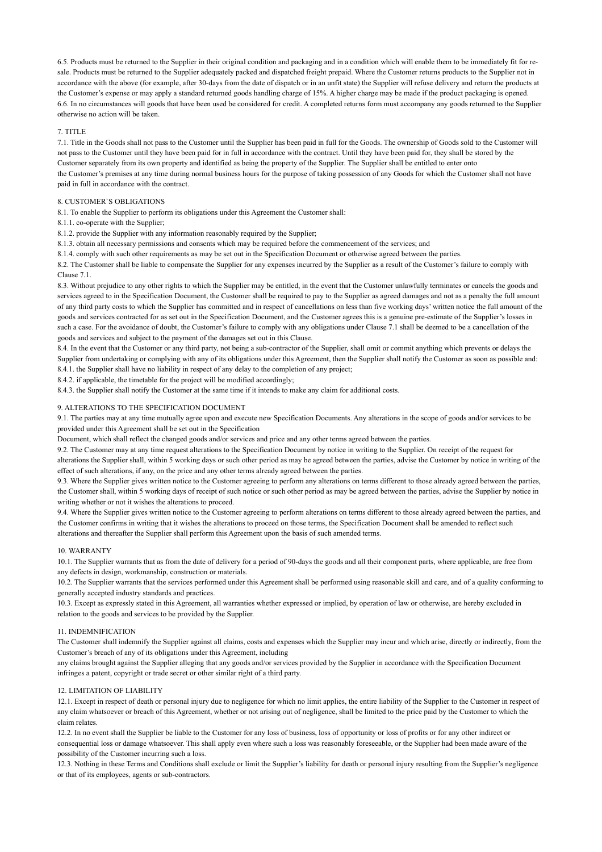6.5. Products must be returned to the Supplier in their original condition and packaging and in a condition which will enable them to be immediately fit for resale. Products must be returned to the Supplier adequately packed and dispatched freight prepaid. Where the Customer returns products to the Supplier not in accordance with the above (for example, after 30-days from the date of dispatch or in an unfit state) the Supplier will refuse delivery and return the products at the Customer's expense or may apply a standard returned goods handling charge of 15%. A higher charge may be made if the product packaging is opened. 6.6. In no circumstances will goods that have been used be considered for credit. A completed returns form must accompany any goods returned to the Supplier otherwise no action will be taken.

#### 7. TITLE

7.1. Title in the Goods shall not pass to the Customer until the Supplier has been paid in full for the Goods. The ownership of Goods sold to the Customer will not pass to the Customer until they have been paid for in full in accordance with the contract. Until they have been paid for, they shall be stored by the Customer separately from its own property and identified as being the property of the Supplier. The Supplier shall be entitled to enter onto the Customer's premises at any time during normal business hours for the purpose of taking possession of any Goods for which the Customer shall not have paid in full in accordance with the contract.

### 8. CUSTOMER`S OBLIGATIONS

8.1. To enable the Supplier to perform its obligations under this Agreement the Customer shall:

- 8.1.1. co-operate with the Supplier;
- 8.1.2. provide the Supplier with any information reasonably required by the Supplier;
- 8.1.3. obtain all necessary permissions and consents which may be required before the commencement of the services; and
- 8.1.4. comply with such other requirements as may be set out in the Specification Document or otherwise agreed between the parties.

8.2. The Customer shall be liable to compensate the Supplier for any expenses incurred by the Supplier as a result of the Customer's failure to comply with Clause 7.1.

8.3. Without prejudice to any other rights to which the Supplier may be entitled, in the event that the Customer unlawfully terminates or cancels the goods and services agreed to in the Specification Document, the Customer shall be required to pay to the Supplier as agreed damages and not as a penalty the full amount of any third party costs to which the Supplier has committed and in respect of cancellations on less than five working days' written notice the full amount of the goods and services contracted for as set out in the Specification Document, and the Customer agrees this is a genuine pre-estimate of the Supplier's losses in such a case. For the avoidance of doubt, the Customer's failure to comply with any obligations under Clause 7.1 shall be deemed to be a cancellation of the goods and services and subject to the payment of the damages set out in this Clause.

8.4. In the event that the Customer or any third party, not being a sub-contractor of the Supplier, shall omit or commit anything which prevents or delays the Supplier from undertaking or complying with any of its obligations under this Agreement, then the Supplier shall notify the Customer as soon as possible and: 8.4.1. the Supplier shall have no liability in respect of any delay to the completion of any project;

8.4.2. if applicable, the timetable for the project will be modified accordingly;

8.4.3. the Supplier shall notify the Customer at the same time if it intends to make any claim for additional costs.

### 9. ALTERATIONS TO THE SPECIFICATION DOCUMENT

9.1. The parties may at any time mutually agree upon and execute new Specification Documents. Any alterations in the scope of goods and/or services to be provided under this Agreement shall be set out in the Specification

Document, which shall reflect the changed goods and/or services and price and any other terms agreed between the parties.

9.2. The Customer may at any time request alterations to the Specification Document by notice in writing to the Supplier. On receipt of the request for

alterations the Supplier shall, within 5 working days or such other period as may be agreed between the parties, advise the Customer by notice in writing of the effect of such alterations, if any, on the price and any other terms already agreed between the parties.

9.3. Where the Supplier gives written notice to the Customer agreeing to perform any alterations on terms different to those already agreed between the parties, the Customer shall, within 5 working days of receipt of such notice or such other period as may be agreed between the parties, advise the Supplier by notice in writing whether or not it wishes the alterations to proceed.

9.4. Where the Supplier gives written notice to the Customer agreeing to perform alterations on terms different to those already agreed between the parties, and the Customer confirms in writing that it wishes the alterations to proceed on those terms, the Specification Document shall be amended to reflect such alterations and thereafter the Supplier shall perform this Agreement upon the basis of such amended terms.

#### 10. WARRANTY

10.1. The Supplier warrants that as from the date of delivery for a period of 90-days the goods and all their component parts, where applicable, are free from any defects in design, workmanship, construction or materials.

10.2. The Supplier warrants that the services performed under this Agreement shall be performed using reasonable skill and care, and of a quality conforming to generally accepted industry standards and practices.

10.3. Except as expressly stated in this Agreement, all warranties whether expressed or implied, by operation of law or otherwise, are hereby excluded in relation to the goods and services to be provided by the Supplier.

## 11. INDEMNIFICATION

The Customer shall indemnify the Supplier against all claims, costs and expenses which the Supplier may incur and which arise, directly or indirectly, from the Customer's breach of any of its obligations under this Agreement, including

any claims brought against the Supplier alleging that any goods and/or services provided by the Supplier in accordance with the Specification Document infringes a patent, copyright or trade secret or other similar right of a third party.

# 12. LIMITATION OF LIABILITY

12.1. Except in respect of death or personal injury due to negligence for which no limit applies, the entire liability of the Supplier to the Customer in respect of any claim whatsoever or breach of this Agreement, whether or not arising out of negligence, shall be limited to the price paid by the Customer to which the claim relates.

12.2. In no event shall the Supplier be liable to the Customer for any loss of business, loss of opportunity or loss of profits or for any other indirect or consequential loss or damage whatsoever. This shall apply even where such a loss was reasonably foreseeable, or the Supplier had been made aware of the possibility of the Customer incurring such a loss.

12.3. Nothing in these Terms and Conditions shall exclude or limit the Supplier's liability for death or personal injury resulting from the Supplier's negligence or that of its employees, agents or sub-contractors.